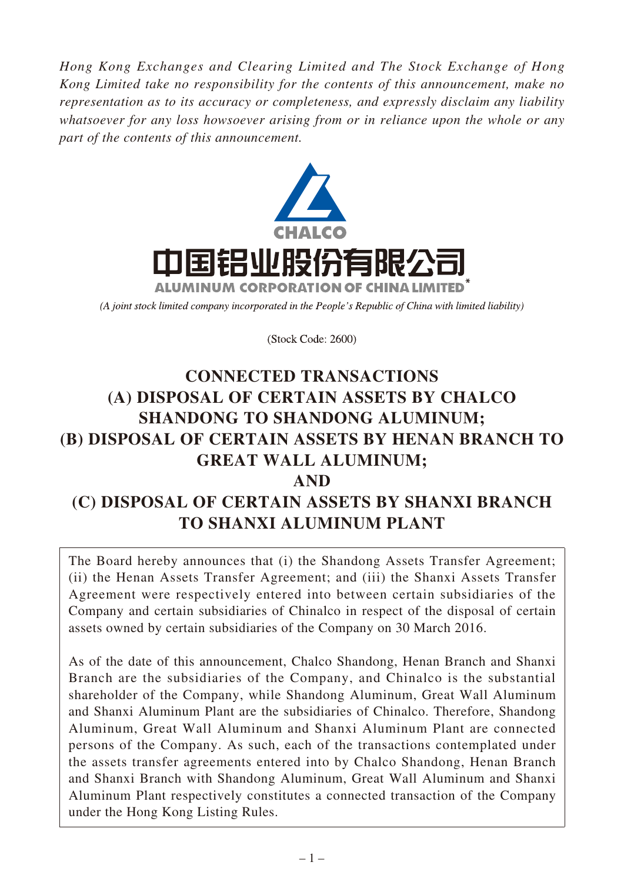*Hong Kong Exchanges and Clearing Limited and The Stock Exchange of Hong Kong Limited take no responsibility for the contents of this announcement, make no representation as to its accuracy or completeness, and expressly disclaim any liability whatsoever for any loss howsoever arising from or in reliance upon the whole or any part of the contents of this announcement.*



(A joint stock limited company incorporated in the People's Republic of China with limited liability)

(Stock Code: 2600)

# **CONNECTED TRANSACTIONS (A) DISPOSAL OF CERTAIN ASSETS BY CHALCO SHANDONG TO SHANDONG ALUMINUM; (B) DISPOSAL OF CERTAIN ASSETS BY HENAN BRANCH TO GREAT WALL ALUMINUM; AND (C) DISPOSAL OF CERTAIN ASSETS BY SHANXI BRANCH TO SHANXI ALUMINUM PLANT**

The Board hereby announces that (i) the Shandong Assets Transfer Agreement; (ii) the Henan Assets Transfer Agreement; and (iii) the Shanxi Assets Transfer Agreement were respectively entered into between certain subsidiaries of the Company and certain subsidiaries of Chinalco in respect of the disposal of certain assets owned by certain subsidiaries of the Company on 30 March 2016.

As of the date of this announcement, Chalco Shandong, Henan Branch and Shanxi Branch are the subsidiaries of the Company, and Chinalco is the substantial shareholder of the Company, while Shandong Aluminum, Great Wall Aluminum and Shanxi Aluminum Plant are the subsidiaries of Chinalco. Therefore, Shandong Aluminum, Great Wall Aluminum and Shanxi Aluminum Plant are connected persons of the Company. As such, each of the transactions contemplated under the assets transfer agreements entered into by Chalco Shandong, Henan Branch and Shanxi Branch with Shandong Aluminum, Great Wall Aluminum and Shanxi Aluminum Plant respectively constitutes a connected transaction of the Company under the Hong Kong Listing Rules.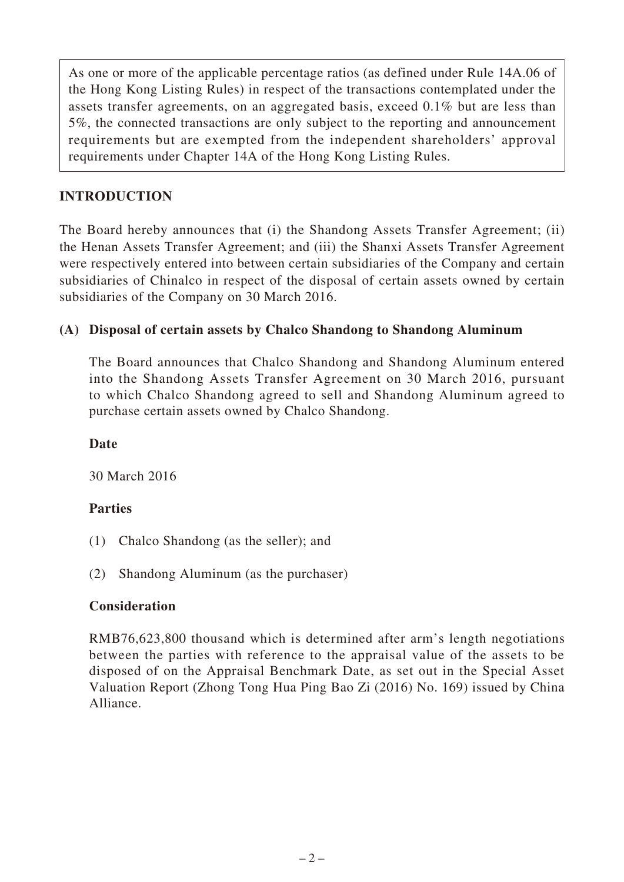As one or more of the applicable percentage ratios (as defined under Rule 14A.06 of the Hong Kong Listing Rules) in respect of the transactions contemplated under the assets transfer agreements, on an aggregated basis, exceed 0.1% but are less than 5%, the connected transactions are only subject to the reporting and announcement requirements but are exempted from the independent shareholders' approval requirements under Chapter 14A of the Hong Kong Listing Rules.

# **INTRODUCTION**

The Board hereby announces that (i) the Shandong Assets Transfer Agreement; (ii) the Henan Assets Transfer Agreement; and (iii) the Shanxi Assets Transfer Agreement were respectively entered into between certain subsidiaries of the Company and certain subsidiaries of Chinalco in respect of the disposal of certain assets owned by certain subsidiaries of the Company on 30 March 2016.

# **(A) Disposal of certain assets by Chalco Shandong to Shandong Aluminum**

The Board announces that Chalco Shandong and Shandong Aluminum entered into the Shandong Assets Transfer Agreement on 30 March 2016, pursuant to which Chalco Shandong agreed to sell and Shandong Aluminum agreed to purchase certain assets owned by Chalco Shandong.

# **Date**

30 March 2016

# **Parties**

- (1) Chalco Shandong (as the seller); and
- (2) Shandong Aluminum (as the purchaser)

# **Consideration**

RMB76,623,800 thousand which is determined after arm's length negotiations between the parties with reference to the appraisal value of the assets to be disposed of on the Appraisal Benchmark Date, as set out in the Special Asset Valuation Report (Zhong Tong Hua Ping Bao Zi (2016) No. 169) issued by China Alliance.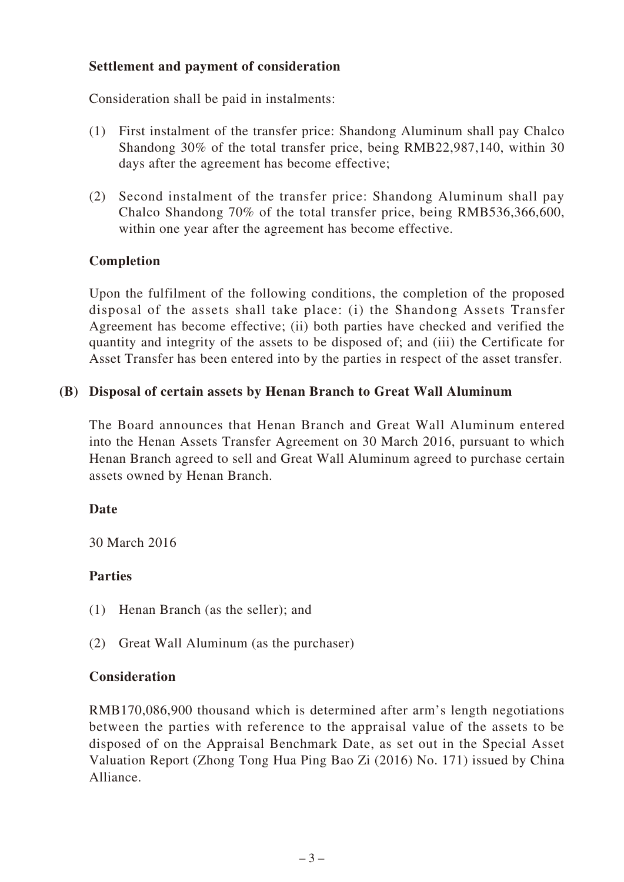# **Settlement and payment of consideration**

Consideration shall be paid in instalments:

- (1) First instalment of the transfer price: Shandong Aluminum shall pay Chalco Shandong 30% of the total transfer price, being RMB22,987,140, within 30 days after the agreement has become effective;
- (2) Second instalment of the transfer price: Shandong Aluminum shall pay Chalco Shandong 70% of the total transfer price, being RMB536,366,600, within one year after the agreement has become effective.

#### **Completion**

Upon the fulfilment of the following conditions, the completion of the proposed disposal of the assets shall take place: (i) the Shandong Assets Transfer Agreement has become effective; (ii) both parties have checked and verified the quantity and integrity of the assets to be disposed of; and (iii) the Certificate for Asset Transfer has been entered into by the parties in respect of the asset transfer.

#### **(B) Disposal of certain assets by Henan Branch to Great Wall Aluminum**

The Board announces that Henan Branch and Great Wall Aluminum entered into the Henan Assets Transfer Agreement on 30 March 2016, pursuant to which Henan Branch agreed to sell and Great Wall Aluminum agreed to purchase certain assets owned by Henan Branch.

#### **Date**

30 March 2016

#### **Parties**

- (1) Henan Branch (as the seller); and
- (2) Great Wall Aluminum (as the purchaser)

#### **Consideration**

RMB170,086,900 thousand which is determined after arm's length negotiations between the parties with reference to the appraisal value of the assets to be disposed of on the Appraisal Benchmark Date, as set out in the Special Asset Valuation Report (Zhong Tong Hua Ping Bao Zi (2016) No. 171) issued by China Alliance.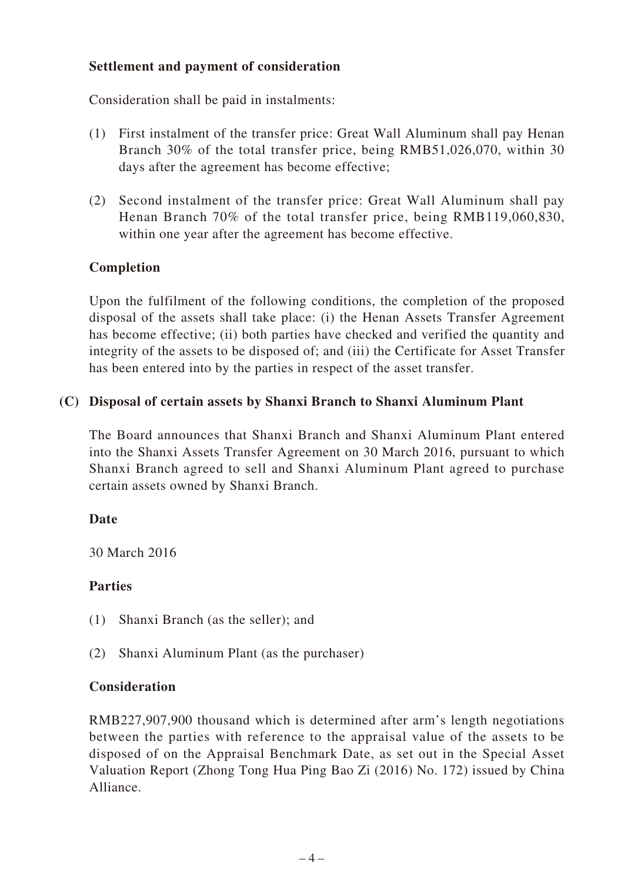# **Settlement and payment of consideration**

Consideration shall be paid in instalments:

- (1) First instalment of the transfer price: Great Wall Aluminum shall pay Henan Branch 30% of the total transfer price, being RMB51,026,070, within 30 days after the agreement has become effective;
- (2) Second instalment of the transfer price: Great Wall Aluminum shall pay Henan Branch 70% of the total transfer price, being RMB119,060,830, within one year after the agreement has become effective.

# **Completion**

Upon the fulfilment of the following conditions, the completion of the proposed disposal of the assets shall take place: (i) the Henan Assets Transfer Agreement has become effective; (ii) both parties have checked and verified the quantity and integrity of the assets to be disposed of; and (iii) the Certificate for Asset Transfer has been entered into by the parties in respect of the asset transfer.

# **(C) Disposal of certain assets by Shanxi Branch to Shanxi Aluminum Plant**

The Board announces that Shanxi Branch and Shanxi Aluminum Plant entered into the Shanxi Assets Transfer Agreement on 30 March 2016, pursuant to which Shanxi Branch agreed to sell and Shanxi Aluminum Plant agreed to purchase certain assets owned by Shanxi Branch.

# **Date**

30 March 2016

# **Parties**

- (1) Shanxi Branch (as the seller); and
- (2) Shanxi Aluminum Plant (as the purchaser)

# **Consideration**

RMB227,907,900 thousand which is determined after arm's length negotiations between the parties with reference to the appraisal value of the assets to be disposed of on the Appraisal Benchmark Date, as set out in the Special Asset Valuation Report (Zhong Tong Hua Ping Bao Zi (2016) No. 172) issued by China Alliance.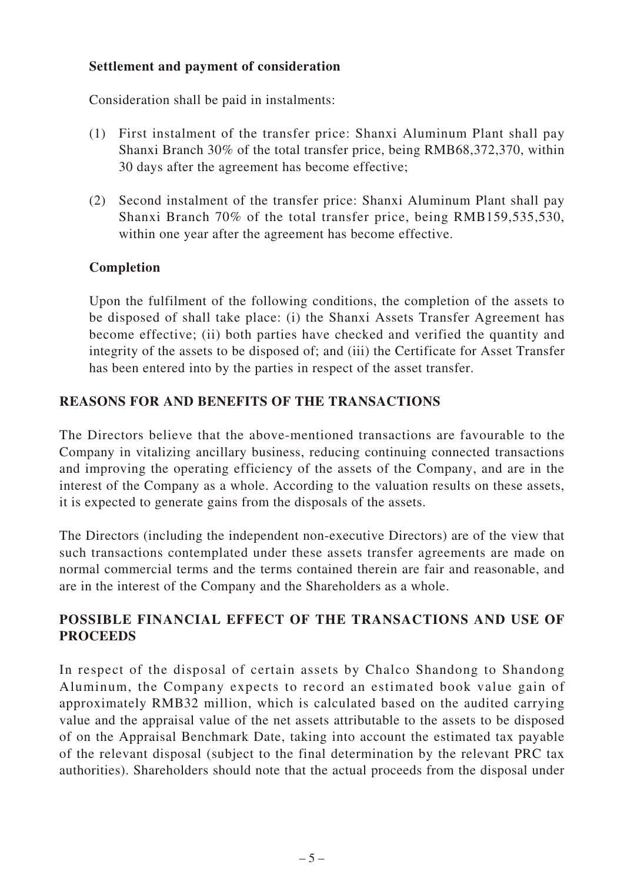# **Settlement and payment of consideration**

Consideration shall be paid in instalments:

- (1) First instalment of the transfer price: Shanxi Aluminum Plant shall pay Shanxi Branch 30% of the total transfer price, being RMB68,372,370, within 30 days after the agreement has become effective;
- (2) Second instalment of the transfer price: Shanxi Aluminum Plant shall pay Shanxi Branch 70% of the total transfer price, being RMB159,535,530, within one year after the agreement has become effective.

# **Completion**

Upon the fulfilment of the following conditions, the completion of the assets to be disposed of shall take place: (i) the Shanxi Assets Transfer Agreement has become effective; (ii) both parties have checked and verified the quantity and integrity of the assets to be disposed of; and (iii) the Certificate for Asset Transfer has been entered into by the parties in respect of the asset transfer.

# **REASONS FOR AND BENEFITS OF THE TRANSACTIONS**

The Directors believe that the above-mentioned transactions are favourable to the Company in vitalizing ancillary business, reducing continuing connected transactions and improving the operating efficiency of the assets of the Company, and are in the interest of the Company as a whole. According to the valuation results on these assets, it is expected to generate gains from the disposals of the assets.

The Directors (including the independent non-executive Directors) are of the view that such transactions contemplated under these assets transfer agreements are made on normal commercial terms and the terms contained therein are fair and reasonable, and are in the interest of the Company and the Shareholders as a whole.

# **POSSIBLE FINANCIAL EFFECT OF THE TRANSACTIONS AND USE OF PROCEEDS**

In respect of the disposal of certain assets by Chalco Shandong to Shandong Aluminum, the Company expects to record an estimated book value gain of approximately RMB32 million, which is calculated based on the audited carrying value and the appraisal value of the net assets attributable to the assets to be disposed of on the Appraisal Benchmark Date, taking into account the estimated tax payable of the relevant disposal (subject to the final determination by the relevant PRC tax authorities). Shareholders should note that the actual proceeds from the disposal under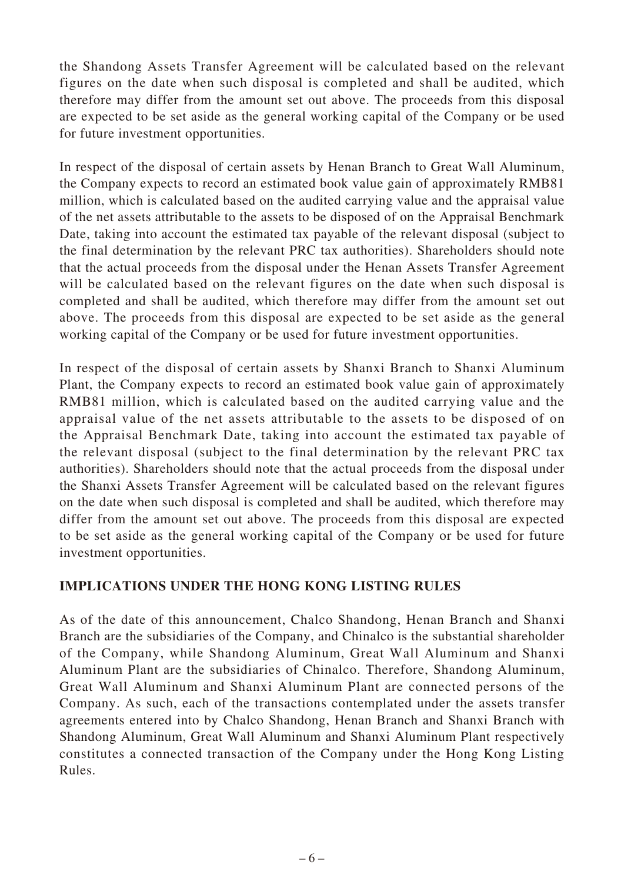the Shandong Assets Transfer Agreement will be calculated based on the relevant figures on the date when such disposal is completed and shall be audited, which therefore may differ from the amount set out above. The proceeds from this disposal are expected to be set aside as the general working capital of the Company or be used for future investment opportunities.

In respect of the disposal of certain assets by Henan Branch to Great Wall Aluminum, the Company expects to record an estimated book value gain of approximately RMB81 million, which is calculated based on the audited carrying value and the appraisal value of the net assets attributable to the assets to be disposed of on the Appraisal Benchmark Date, taking into account the estimated tax payable of the relevant disposal (subject to the final determination by the relevant PRC tax authorities). Shareholders should note that the actual proceeds from the disposal under the Henan Assets Transfer Agreement will be calculated based on the relevant figures on the date when such disposal is completed and shall be audited, which therefore may differ from the amount set out above. The proceeds from this disposal are expected to be set aside as the general working capital of the Company or be used for future investment opportunities.

In respect of the disposal of certain assets by Shanxi Branch to Shanxi Aluminum Plant, the Company expects to record an estimated book value gain of approximately RMB81 million, which is calculated based on the audited carrying value and the appraisal value of the net assets attributable to the assets to be disposed of on the Appraisal Benchmark Date, taking into account the estimated tax payable of the relevant disposal (subject to the final determination by the relevant PRC tax authorities). Shareholders should note that the actual proceeds from the disposal under the Shanxi Assets Transfer Agreement will be calculated based on the relevant figures on the date when such disposal is completed and shall be audited, which therefore may differ from the amount set out above. The proceeds from this disposal are expected to be set aside as the general working capital of the Company or be used for future investment opportunities.

# **IMPLICATIONS UNDER THE HONG KONG LISTING RULES**

As of the date of this announcement, Chalco Shandong, Henan Branch and Shanxi Branch are the subsidiaries of the Company, and Chinalco is the substantial shareholder of the Company, while Shandong Aluminum, Great Wall Aluminum and Shanxi Aluminum Plant are the subsidiaries of Chinalco. Therefore, Shandong Aluminum, Great Wall Aluminum and Shanxi Aluminum Plant are connected persons of the Company. As such, each of the transactions contemplated under the assets transfer agreements entered into by Chalco Shandong, Henan Branch and Shanxi Branch with Shandong Aluminum, Great Wall Aluminum and Shanxi Aluminum Plant respectively constitutes a connected transaction of the Company under the Hong Kong Listing Rules.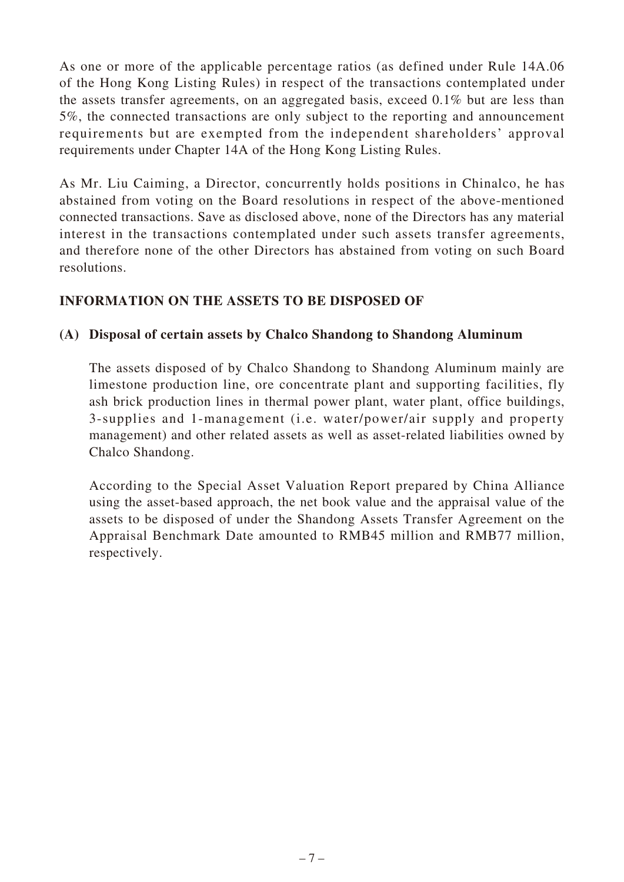As one or more of the applicable percentage ratios (as defined under Rule 14A.06 of the Hong Kong Listing Rules) in respect of the transactions contemplated under the assets transfer agreements, on an aggregated basis, exceed 0.1% but are less than 5%, the connected transactions are only subject to the reporting and announcement requirements but are exempted from the independent shareholders' approval requirements under Chapter 14A of the Hong Kong Listing Rules.

As Mr. Liu Caiming, a Director, concurrently holds positions in Chinalco, he has abstained from voting on the Board resolutions in respect of the above-mentioned connected transactions. Save as disclosed above, none of the Directors has any material interest in the transactions contemplated under such assets transfer agreements, and therefore none of the other Directors has abstained from voting on such Board resolutions.

#### **INFORMATION ON THE ASSETS TO BE DISPOSED OF**

#### **(A) Disposal of certain assets by Chalco Shandong to Shandong Aluminum**

The assets disposed of by Chalco Shandong to Shandong Aluminum mainly are limestone production line, ore concentrate plant and supporting facilities, fly ash brick production lines in thermal power plant, water plant, office buildings, 3-supplies and 1-management (i.e. water/power/air supply and property management) and other related assets as well as asset-related liabilities owned by Chalco Shandong.

According to the Special Asset Valuation Report prepared by China Alliance using the asset-based approach, the net book value and the appraisal value of the assets to be disposed of under the Shandong Assets Transfer Agreement on the Appraisal Benchmark Date amounted to RMB45 million and RMB77 million, respectively.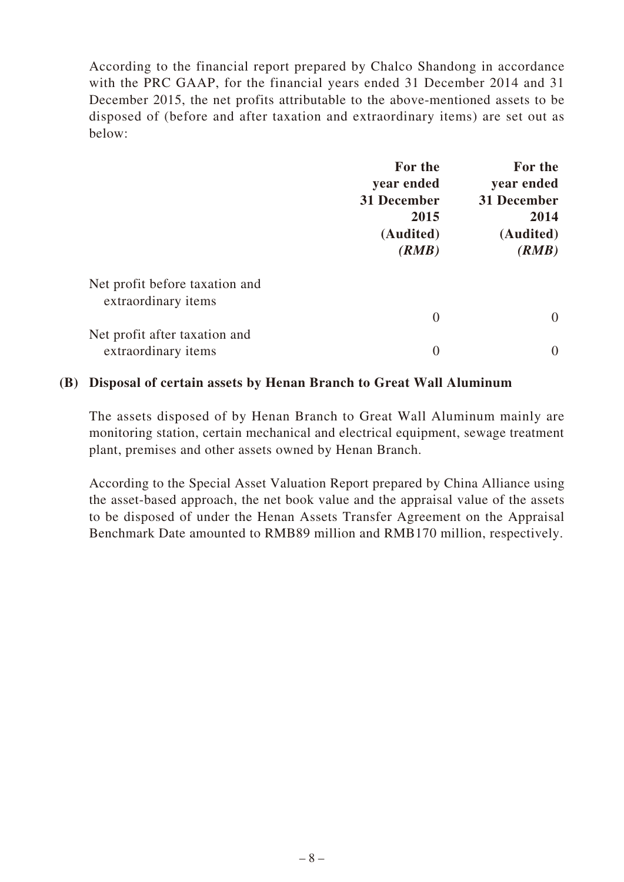According to the financial report prepared by Chalco Shandong in accordance with the PRC GAAP, for the financial years ended 31 December 2014 and 31 December 2015, the net profits attributable to the above-mentioned assets to be disposed of (before and after taxation and extraordinary items) are set out as below:

|                                | For the                                                 | For the                                                 |
|--------------------------------|---------------------------------------------------------|---------------------------------------------------------|
|                                | year ended<br>31 December<br>2015<br>(Audited)<br>(RMB) | year ended<br>31 December<br>2014<br>(Audited)<br>(RMB) |
|                                |                                                         |                                                         |
|                                |                                                         |                                                         |
|                                |                                                         |                                                         |
|                                |                                                         |                                                         |
| Net profit before taxation and |                                                         |                                                         |
| extraordinary items            |                                                         |                                                         |
|                                | $\overline{0}$                                          | $\overline{0}$                                          |
| Net profit after taxation and  |                                                         |                                                         |
| extraordinary items            | $\overline{0}$                                          | $\theta$                                                |

#### **(B) Disposal of certain assets by Henan Branch to Great Wall Aluminum**

The assets disposed of by Henan Branch to Great Wall Aluminum mainly are monitoring station, certain mechanical and electrical equipment, sewage treatment plant, premises and other assets owned by Henan Branch.

According to the Special Asset Valuation Report prepared by China Alliance using the asset-based approach, the net book value and the appraisal value of the assets to be disposed of under the Henan Assets Transfer Agreement on the Appraisal Benchmark Date amounted to RMB89 million and RMB170 million, respectively.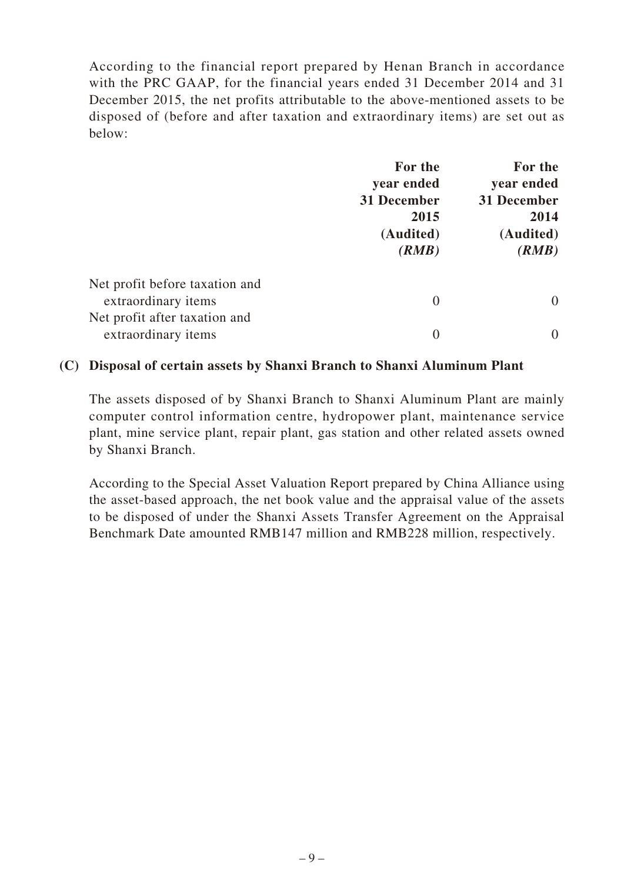According to the financial report prepared by Henan Branch in accordance with the PRC GAAP, for the financial years ended 31 December 2014 and 31 December 2015, the net profits attributable to the above-mentioned assets to be disposed of (before and after taxation and extraordinary items) are set out as below:

|                                | For the                                                 | For the                                                 |
|--------------------------------|---------------------------------------------------------|---------------------------------------------------------|
|                                | year ended<br>31 December<br>2015<br>(Audited)<br>(RMB) | year ended<br>31 December<br>2014<br>(Audited)<br>(RMB) |
|                                |                                                         |                                                         |
|                                |                                                         |                                                         |
|                                |                                                         |                                                         |
|                                |                                                         |                                                         |
| Net profit before taxation and |                                                         |                                                         |
| extraordinary items            | $\overline{0}$                                          | $\theta$                                                |
| Net profit after taxation and  |                                                         |                                                         |
| extraordinary items            | $\overline{0}$                                          | 0                                                       |

#### **(C) Disposal of certain assets by Shanxi Branch to Shanxi Aluminum Plant**

The assets disposed of by Shanxi Branch to Shanxi Aluminum Plant are mainly computer control information centre, hydropower plant, maintenance service plant, mine service plant, repair plant, gas station and other related assets owned by Shanxi Branch.

According to the Special Asset Valuation Report prepared by China Alliance using the asset-based approach, the net book value and the appraisal value of the assets to be disposed of under the Shanxi Assets Transfer Agreement on the Appraisal Benchmark Date amounted RMB147 million and RMB228 million, respectively.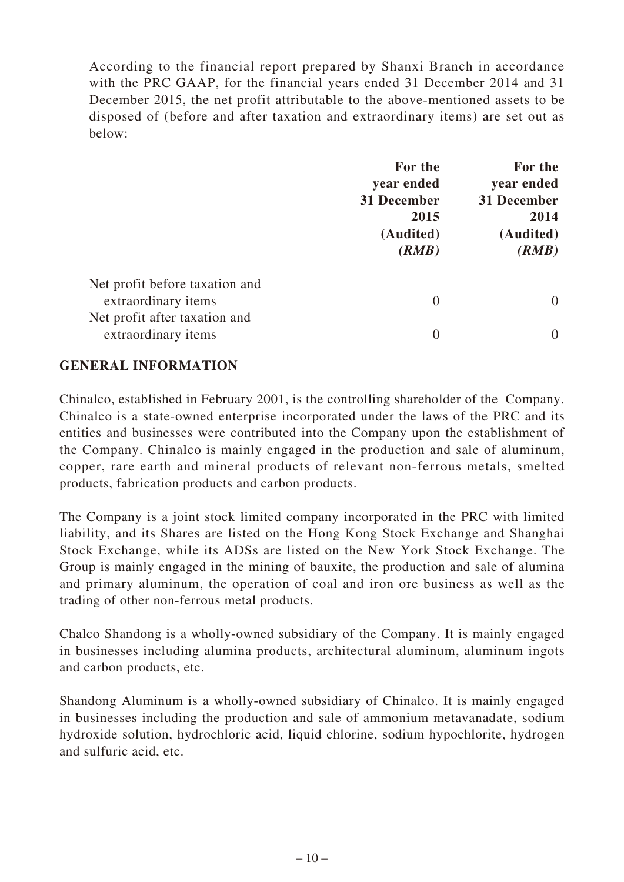According to the financial report prepared by Shanxi Branch in accordance with the PRC GAAP, for the financial years ended 31 December 2014 and 31 December 2015, the net profit attributable to the above-mentioned assets to be disposed of (before and after taxation and extraordinary items) are set out as below:

|                                                       | For the<br>year ended<br>31 December<br>2015<br>(Audited)<br>(RMB) | For the<br>year ended<br>31 December<br>2014<br>(Audited)<br>(RMB) |
|-------------------------------------------------------|--------------------------------------------------------------------|--------------------------------------------------------------------|
| Net profit before taxation and<br>extraordinary items | $\theta$                                                           | $\theta$                                                           |
| Net profit after taxation and<br>extraordinary items  | $\overline{0}$                                                     | $\mathbf{0}$                                                       |

#### **GENERAL INFORMATION**

Chinalco, established in February 2001, is the controlling shareholder of the Company. Chinalco is a state-owned enterprise incorporated under the laws of the PRC and its entities and businesses were contributed into the Company upon the establishment of the Company. Chinalco is mainly engaged in the production and sale of aluminum, copper, rare earth and mineral products of relevant non-ferrous metals, smelted products, fabrication products and carbon products.

The Company is a joint stock limited company incorporated in the PRC with limited liability, and its Shares are listed on the Hong Kong Stock Exchange and Shanghai Stock Exchange, while its ADSs are listed on the New York Stock Exchange. The Group is mainly engaged in the mining of bauxite, the production and sale of alumina and primary aluminum, the operation of coal and iron ore business as well as the trading of other non-ferrous metal products.

Chalco Shandong is a wholly-owned subsidiary of the Company. It is mainly engaged in businesses including alumina products, architectural aluminum, aluminum ingots and carbon products, etc.

Shandong Aluminum is a wholly-owned subsidiary of Chinalco. It is mainly engaged in businesses including the production and sale of ammonium metavanadate, sodium hydroxide solution, hydrochloric acid, liquid chlorine, sodium hypochlorite, hydrogen and sulfuric acid, etc.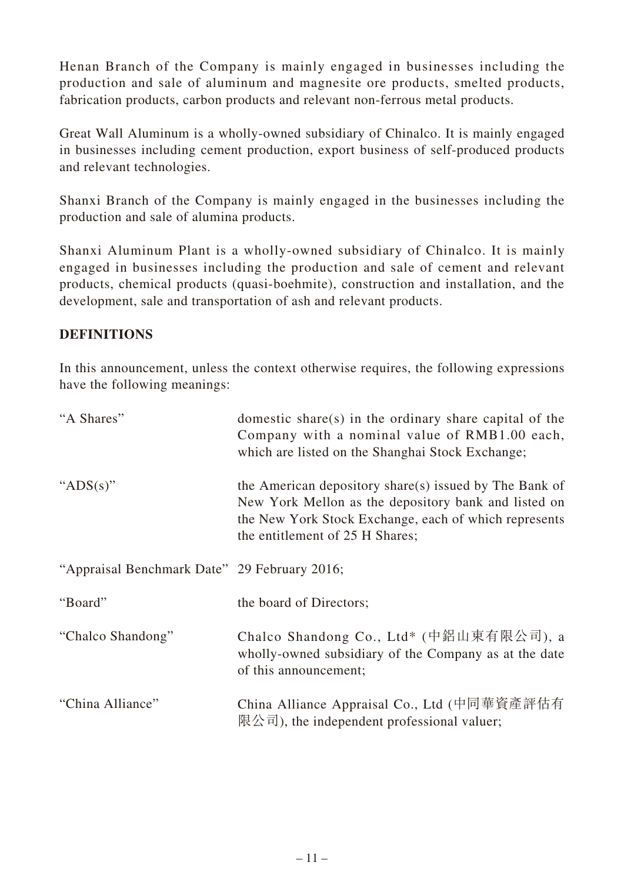Henan Branch of the Company is mainly engaged in businesses including the production and sale of aluminum and magnesite ore products, smelted products, fabrication products, carbon products and relevant non-ferrous metal products.

Great Wall Aluminum is a wholly-owned subsidiary of Chinalco. It is mainly engaged in businesses including cement production, export business of self-produced products and relevant technologies.

Shanxi Branch of the Company is mainly engaged in the businesses including the production and sale of alumina products.

Shanxi Aluminum Plant is a wholly-owned subsidiary of Chinalco. It is mainly engaged in businesses including the production and sale of cement and relevant products, chemical products (quasi-boehmite), construction and installation, and the development, sale and transportation of ash and relevant products.

# **DEFINITIONS**

In this announcement, unless the context otherwise requires, the following expressions have the following meanings:

| "A Shares"                                   | domestic share(s) in the ordinary share capital of the<br>Company with a nominal value of RMB1.00 each,<br>which are listed on the Shanghai Stock Exchange;                                                |
|----------------------------------------------|------------------------------------------------------------------------------------------------------------------------------------------------------------------------------------------------------------|
| " $ADS(s)$ "                                 | the American depository share(s) issued by The Bank of<br>New York Mellon as the depository bank and listed on<br>the New York Stock Exchange, each of which represents<br>the entitlement of 25 H Shares; |
| "Appraisal Benchmark Date" 29 February 2016; |                                                                                                                                                                                                            |
| "Board"                                      | the board of Directors;                                                                                                                                                                                    |
| "Chalco Shandong"                            | Chalco Shandong Co., Ltd* (中鋁山東有限公司), a<br>wholly-owned subsidiary of the Company as at the date<br>of this announcement;                                                                                  |
| "China Alliance"                             | China Alliance Appraisal Co., Ltd (中同華資產評估有<br>限公司), the independent professional valuer;                                                                                                                  |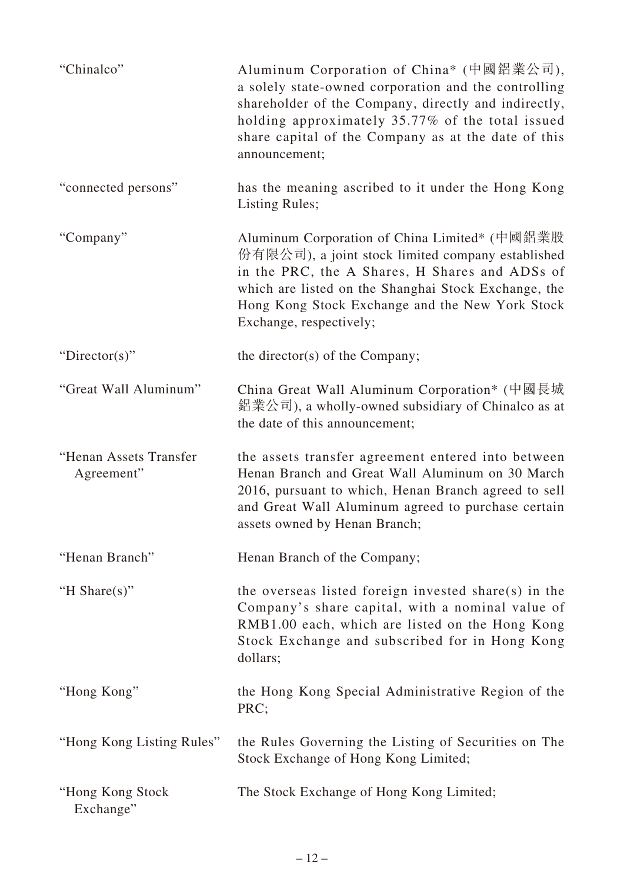| "Chinalco"                           | Aluminum Corporation of China* (中國鋁業公司),<br>a solely state-owned corporation and the controlling<br>shareholder of the Company, directly and indirectly,<br>holding approximately 35.77% of the total issued<br>share capital of the Company as at the date of this<br>announcement;       |
|--------------------------------------|--------------------------------------------------------------------------------------------------------------------------------------------------------------------------------------------------------------------------------------------------------------------------------------------|
| "connected persons"                  | has the meaning ascribed to it under the Hong Kong<br><b>Listing Rules;</b>                                                                                                                                                                                                                |
| "Company"                            | Aluminum Corporation of China Limited* (中國鋁業股<br>份有限公司), a joint stock limited company established<br>in the PRC, the A Shares, H Shares and ADSs of<br>which are listed on the Shanghai Stock Exchange, the<br>Hong Kong Stock Exchange and the New York Stock<br>Exchange, respectively; |
| "Director(s)"                        | the director(s) of the Company;                                                                                                                                                                                                                                                            |
| "Great Wall Aluminum"                | China Great Wall Aluminum Corporation* (中國長城<br>鋁業公司), a wholly-owned subsidiary of Chinalco as at<br>the date of this announcement;                                                                                                                                                       |
| "Henan Assets Transfer<br>Agreement" | the assets transfer agreement entered into between<br>Henan Branch and Great Wall Aluminum on 30 March<br>2016, pursuant to which, Henan Branch agreed to sell<br>and Great Wall Aluminum agreed to purchase certain<br>assets owned by Henan Branch;                                      |
| "Henan Branch"                       | Henan Branch of the Company;                                                                                                                                                                                                                                                               |
| "H Share $(s)$ "                     | the overseas listed foreign invested share(s) in the<br>Company's share capital, with a nominal value of<br>RMB1.00 each, which are listed on the Hong Kong<br>Stock Exchange and subscribed for in Hong Kong<br>dollars;                                                                  |
| "Hong Kong"                          | the Hong Kong Special Administrative Region of the<br>PRC;                                                                                                                                                                                                                                 |
| "Hong Kong Listing Rules"            | the Rules Governing the Listing of Securities on The<br>Stock Exchange of Hong Kong Limited;                                                                                                                                                                                               |
| "Hong Kong Stock<br>Exchange"        | The Stock Exchange of Hong Kong Limited;                                                                                                                                                                                                                                                   |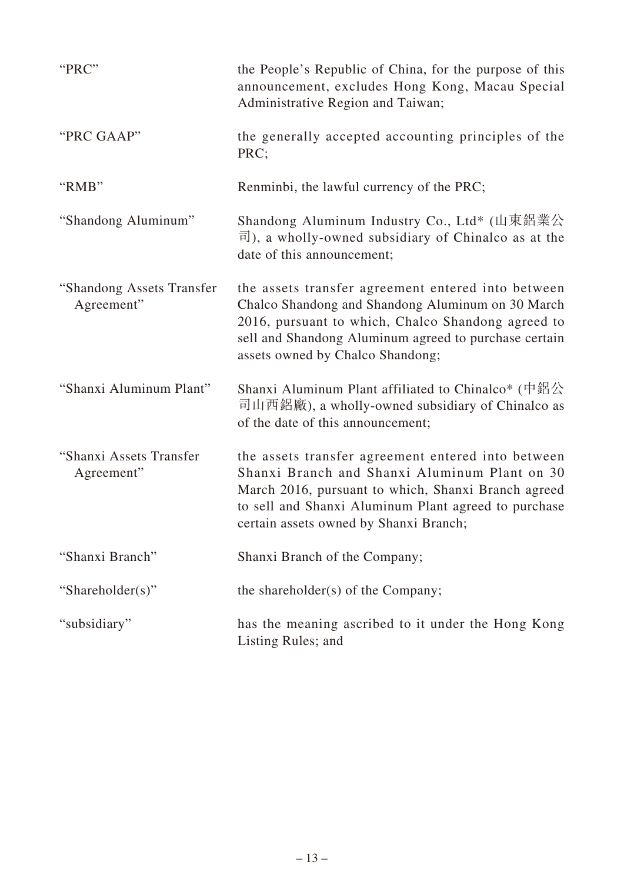| "PRC"                                   | the People's Republic of China, for the purpose of this<br>announcement, excludes Hong Kong, Macau Special<br>Administrative Region and Taiwan;                                                                                                              |
|-----------------------------------------|--------------------------------------------------------------------------------------------------------------------------------------------------------------------------------------------------------------------------------------------------------------|
| "PRC GAAP"                              | the generally accepted accounting principles of the<br>PRC;                                                                                                                                                                                                  |
| "RMB"                                   | Renminbi, the lawful currency of the PRC;                                                                                                                                                                                                                    |
| "Shandong Aluminum"                     | Shandong Aluminum Industry Co., Ltd* (山東鋁業公<br>$\overline{\mathbb{H}}$ ), a wholly-owned subsidiary of Chinalco as at the<br>date of this announcement;                                                                                                      |
| "Shandong Assets Transfer<br>Agreement" | the assets transfer agreement entered into between<br>Chalco Shandong and Shandong Aluminum on 30 March<br>2016, pursuant to which, Chalco Shandong agreed to<br>sell and Shandong Aluminum agreed to purchase certain<br>assets owned by Chalco Shandong;   |
| "Shanxi Aluminum Plant"                 | Shanxi Aluminum Plant affiliated to Chinalco* (中鋁公<br>司山西鋁廠), a wholly-owned subsidiary of Chinalco as<br>of the date of this announcement;                                                                                                                  |
| "Shanxi Assets Transfer<br>Agreement"   | the assets transfer agreement entered into between<br>Shanxi Branch and Shanxi Aluminum Plant on 30<br>March 2016, pursuant to which, Shanxi Branch agreed<br>to sell and Shanxi Aluminum Plant agreed to purchase<br>certain assets owned by Shanxi Branch; |
| "Shanxi Branch"                         | Shanxi Branch of the Company;                                                                                                                                                                                                                                |
| "Shareholder(s)"                        | the shareholder(s) of the Company;                                                                                                                                                                                                                           |
| "subsidiary"                            | has the meaning ascribed to it under the Hong Kong<br>Listing Rules; and                                                                                                                                                                                     |